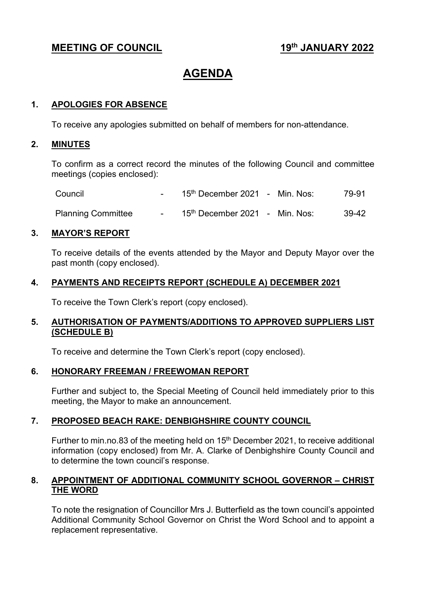# **MEETING OF COUNCIL** 19<sup>th</sup> JANUARY 2022

# **AGENDA**

#### **1. APOLOGIES FOR ABSENCE**

To receive any apologies submitted on behalf of members for non-attendance.

#### **2. MINUTES**

To confirm as a correct record the minutes of the following Council and committee meetings (copies enclosed):

| Council                   | $15th$ December 2021 - Min. Nos:           |  | 79-91 |
|---------------------------|--------------------------------------------|--|-------|
| <b>Planning Committee</b> | 15 <sup>th</sup> December 2021 - Min. Nos: |  | 39-42 |

#### **3. MAYOR'S REPORT**

To receive details of the events attended by the Mayor and Deputy Mayor over the past month (copy enclosed).

#### **4. PAYMENTS AND RECEIPTS REPORT (SCHEDULE A) DECEMBER 2021**

To receive the Town Clerk's report (copy enclosed).

#### **5. AUTHORISATION OF PAYMENTS/ADDITIONS TO APPROVED SUPPLIERS LIST (SCHEDULE B)**

To receive and determine the Town Clerk's report (copy enclosed).

#### **6. HONORARY FREEMAN / FREEWOMAN REPORT**

Further and subject to, the Special Meeting of Council held immediately prior to this meeting, the Mayor to make an announcement.

#### **7. PROPOSED BEACH RAKE: DENBIGHSHIRE COUNTY COUNCIL**

Further to min.no.83 of the meeting held on  $15<sup>th</sup>$  December 2021, to receive additional information (copy enclosed) from Mr. A. Clarke of Denbighshire County Council and to determine the town council's response.

#### **8. APPOINTMENT OF ADDITIONAL COMMUNITY SCHOOL GOVERNOR – CHRIST THE WORD**

To note the resignation of Councillor Mrs J. Butterfield as the town council's appointed Additional Community School Governor on Christ the Word School and to appoint a replacement representative.